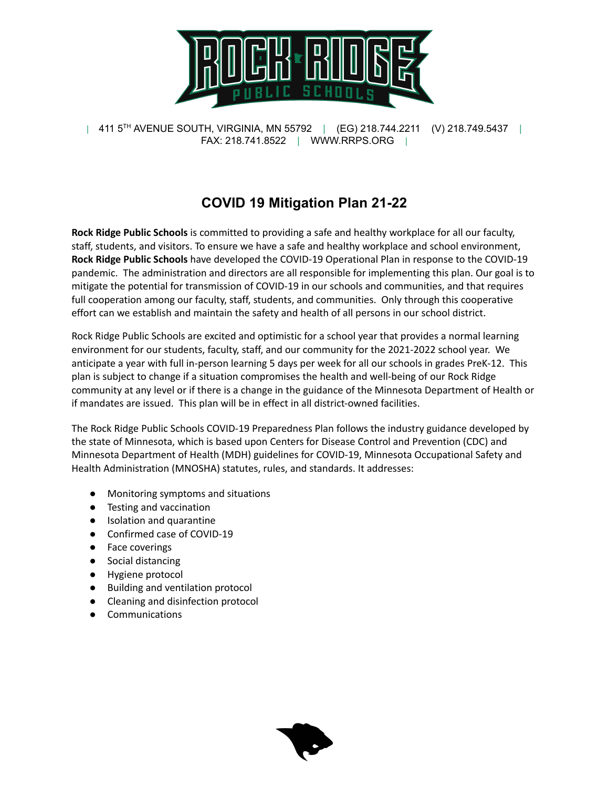

# **COVID 19 Mitigation Plan 21-22**

**Rock Ridge Public Schools** is committed to providing a safe and healthy workplace for all our faculty, staff, students, and visitors. To ensure we have a safe and healthy workplace and school environment, **Rock Ridge Public Schools** have developed the COVID-19 Operational Plan in response to the COVID-19 pandemic. The administration and directors are all responsible for implementing this plan. Our goal is to mitigate the potential for transmission of COVID-19 in our schools and communities, and that requires full cooperation among our faculty, staff, students, and communities. Only through this cooperative effort can we establish and maintain the safety and health of all persons in our school district.

Rock Ridge Public Schools are excited and optimistic for a school year that provides a normal learning environment for our students, faculty, staff, and our community for the 2021-2022 school year. We anticipate a year with full in-person learning 5 days per week for all our schools in grades PreK-12. This plan is subject to change if a situation compromises the health and well-being of our Rock Ridge community at any level or if there is a change in the guidance of the Minnesota Department of Health or if mandates are issued. This plan will be in effect in all district-owned facilities.

The Rock Ridge Public Schools COVID-19 Preparedness Plan follows the industry guidance developed by the state of Minnesota, which is based upon Centers for Disease Control and Prevention (CDC) and Minnesota Department of Health (MDH) guidelines for COVID-19, Minnesota Occupational Safety and Health Administration (MNOSHA) statutes, rules, and standards. It addresses:

- Monitoring symptoms and situations
- Testing and vaccination
- Isolation and quarantine
- Confirmed case of COVID-19
- Face coverings
- Social distancing
- Hygiene protocol
- Building and ventilation protocol
- Cleaning and disinfection protocol
- **Communications**

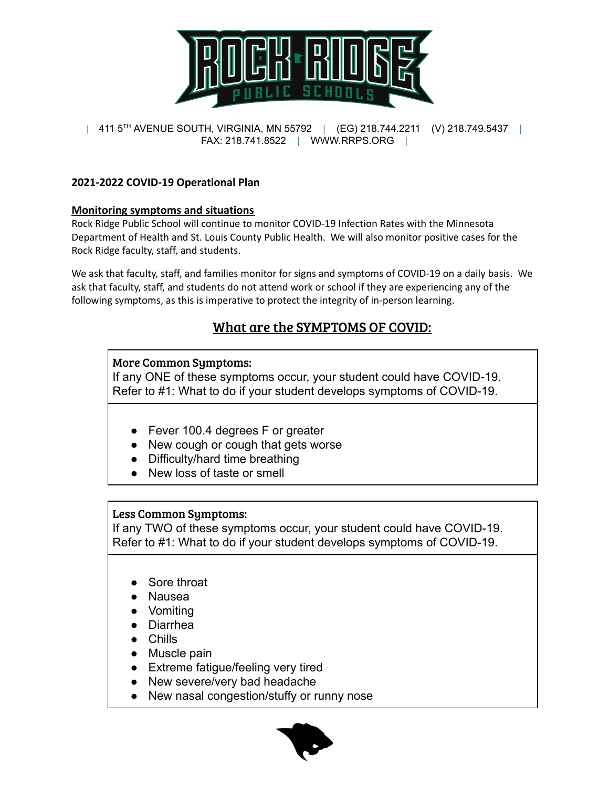

#### **2021-2022 COVID-19 Operational Plan**

#### **Monitoring symptoms and situations**

Rock Ridge Public School will continue to monitor COVID-19 Infection Rates with the Minnesota Department of Health and St. Louis County Public Health. We will also monitor positive cases for the Rock Ridge faculty, staff, and students.

We ask that faculty, staff, and families monitor for signs and symptoms of COVID-19 on a daily basis. We ask that faculty, staff, and students do not attend work or school if they are experiencing any of the following symptoms, as this is imperative to protect the integrity of in-person learning.

## What are the SYMPTOMS OF COVID:

#### More Common Symptoms:

If any ONE of these symptoms occur, your student could have COVID-19. Refer to #1: What to do if your student develops symptoms of COVID-19.

- Fever 100.4 degrees F or greater
- New cough or cough that gets worse
- Difficulty/hard time breathing
- New loss of taste or smell

#### Less Common Symptoms:

If any TWO of these symptoms occur, your student could have COVID-19. Refer to #1: What to do if your student develops symptoms of COVID-19.

- Sore throat
- Nausea
- **Vomiting**
- Diarrhea
- Chills
- Muscle pain
- Extreme fatigue/feeling very tired
- New severe/very bad headache
- New nasal congestion/stuffy or runny nose

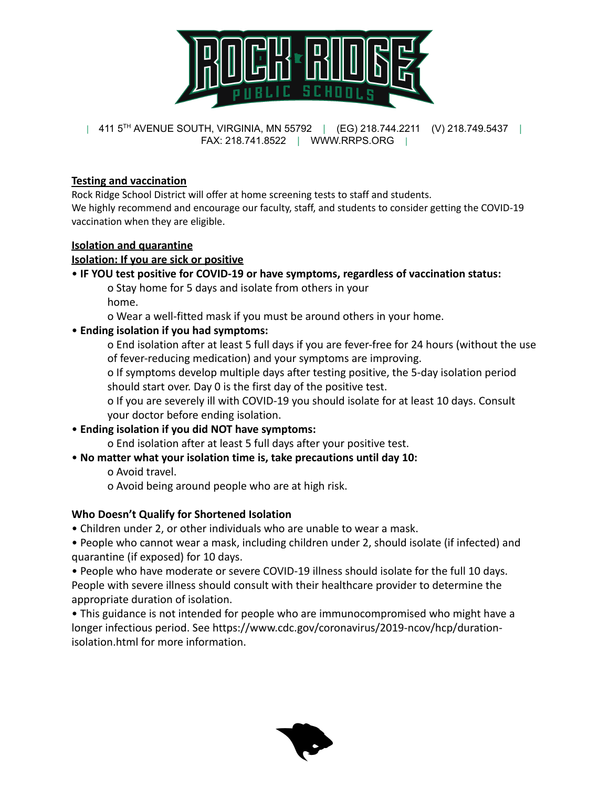

#### **Testing and vaccination**

Rock Ridge School District will offer at home screening tests to staff and students. We highly recommend and encourage our faculty, staff, and students to consider getting the COVID-19 vaccination when they are eligible.

#### **Isolation and quarantine**

#### **Isolation: If you are sick or positive**

#### • **IF YOU test positive for COVID-19 or have symptoms, regardless of vaccination status:**

o Stay home for 5 days and isolate from others in your

home.

o Wear a well-fitted mask if you must be around others in your home.

#### • **Ending isolation if you had symptoms:**

o End isolation after at least 5 full days if you are fever-free for 24 hours (without the use of fever-reducing medication) and your symptoms are improving.

o If symptoms develop multiple days after testing positive, the 5-day isolation period should start over. Day 0 is the first day of the positive test.

o If you are severely ill with COVID-19 you should isolate for at least 10 days. Consult your doctor before ending isolation.

## • **Ending isolation if you did NOT have symptoms:**

o End isolation after at least 5 full days after your positive test.

## • **No matter what your isolation time is, take precautions until day 10:**

o Avoid travel.

o Avoid being around people who are at high risk.

## **Who Doesn't Qualify for Shortened Isolation**

• Children under 2, or other individuals who are unable to wear a mask.

• People who cannot wear a mask, including children under 2, should isolate (if infected) and quarantine (if exposed) for 10 days.

• People who have moderate or severe COVID-19 illness should isolate for the full 10 days. People with severe illness should consult with their healthcare provider to determine the appropriate duration of isolation.

• This guidance is not intended for people who are immunocompromised who might have a longer infectious period. See https://www.cdc.gov/coronavirus/2019-ncov/hcp/durationisolation.html for more information.

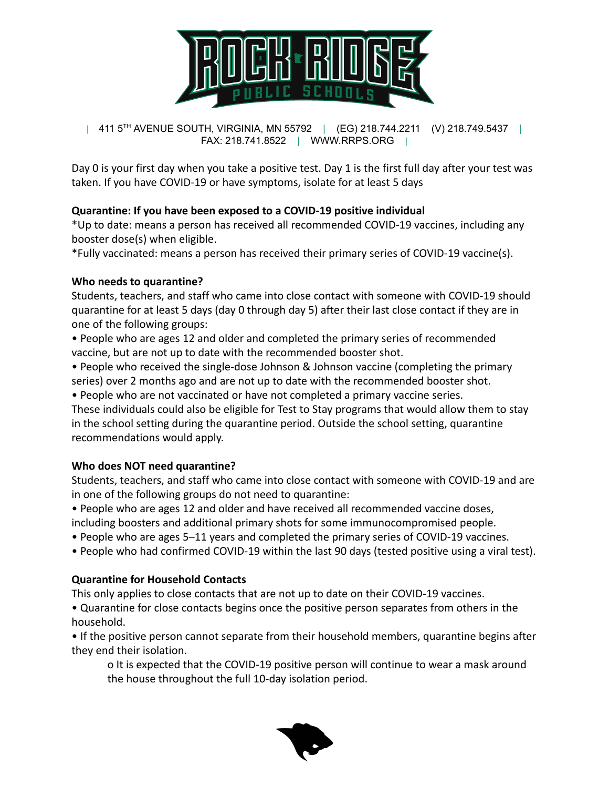

Day 0 is your first day when you take a positive test. Day 1 is the first full day after your test was taken. If you have COVID-19 or have symptoms, isolate for at least 5 days

## **Quarantine: If you have been exposed to a COVID-19 positive individual**

\*Up to date: means a person has received all recommended COVID-19 vaccines, including any booster dose(s) when eligible.

\*Fully vaccinated: means a person has received their primary series of COVID-19 vaccine(s).

#### **Who needs to quarantine?**

Students, teachers, and staff who came into close contact with someone with COVID-19 should quarantine for at least 5 days (day 0 through day 5) after their last close contact if they are in one of the following groups:

• People who are ages 12 and older and completed the primary series of recommended vaccine, but are not up to date with the recommended booster shot.

• People who received the single-dose Johnson & Johnson vaccine (completing the primary series) over 2 months ago and are not up to date with the recommended booster shot.

• People who are not vaccinated or have not completed a primary vaccine series.

These individuals could also be eligible for Test to Stay programs that would allow them to stay in the school setting during the quarantine period. Outside the school setting, quarantine recommendations would apply.

## **Who does NOT need quarantine?**

Students, teachers, and staff who came into close contact with someone with COVID-19 and are in one of the following groups do not need to quarantine:

• People who are ages 12 and older and have received all recommended vaccine doses, including boosters and additional primary shots for some immunocompromised people.

- People who are ages 5–11 years and completed the primary series of COVID-19 vaccines.
- People who had confirmed COVID-19 within the last 90 days (tested positive using a viral test).

## **Quarantine for Household Contacts**

This only applies to close contacts that are not up to date on their COVID-19 vaccines. • Quarantine for close contacts begins once the positive person separates from others in the household.

• If the positive person cannot separate from their household members, quarantine begins after they end their isolation.

o It is expected that the COVID-19 positive person will continue to wear a mask around the house throughout the full 10-day isolation period.

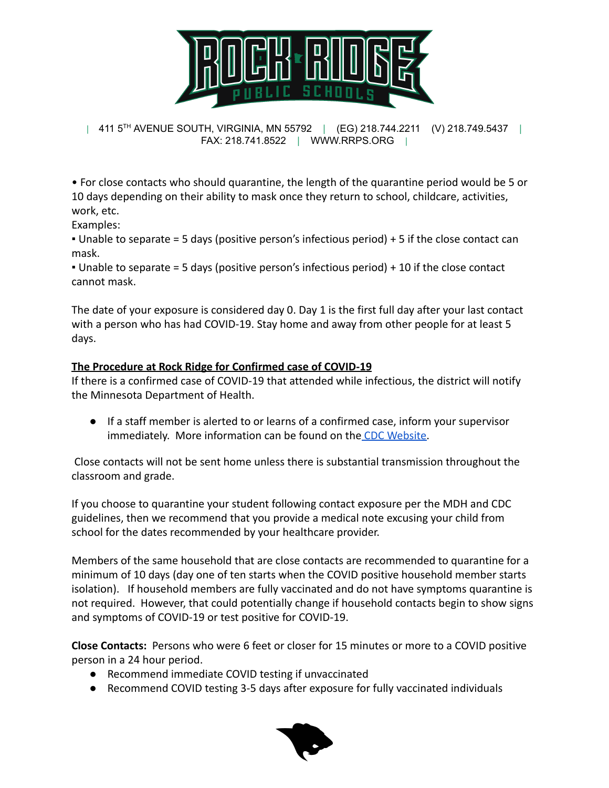

• For close contacts who should quarantine, the length of the quarantine period would be 5 or 10 days depending on their ability to mask once they return to school, childcare, activities, work, etc.

Examples:

 $\bullet$  Unable to separate = 5 days (positive person's infectious period) + 5 if the close contact can mask.

 $\bullet$  Unable to separate = 5 days (positive person's infectious period) + 10 if the close contact cannot mask.

The date of your exposure is considered day 0. Day 1 is the first full day after your last contact with a person who has had COVID-19. Stay home and away from other people for at least 5 days.

## **The Procedure at Rock Ridge for Confirmed case of COVID-19**

If there is a confirmed case of COVID-19 that attended while infectious, the district will notify the Minnesota Department of Health.

● If a staff member is alerted to or learns of a confirmed case, inform your supervisor immediately. More information can be found on the [CDC Website.](https://www.cdc.gov/coronavirus/2019-ncov/index.html)

Close contacts will not be sent home unless there is substantial transmission throughout the classroom and grade.

If you choose to quarantine your student following contact exposure per the MDH and CDC guidelines, then we recommend that you provide a medical note excusing your child from school for the dates recommended by your healthcare provider.

Members of the same household that are close contacts are recommended to quarantine for a minimum of 10 days (day one of ten starts when the COVID positive household member starts isolation). If household members are fully vaccinated and do not have symptoms quarantine is not required. However, that could potentially change if household contacts begin to show signs and symptoms of COVID-19 or test positive for COVID-19.

**Close Contacts:** Persons who were 6 feet or closer for 15 minutes or more to a COVID positive person in a 24 hour period.

- Recommend immediate COVID testing if unvaccinated
- Recommend COVID testing 3-5 days after exposure for fully vaccinated individuals

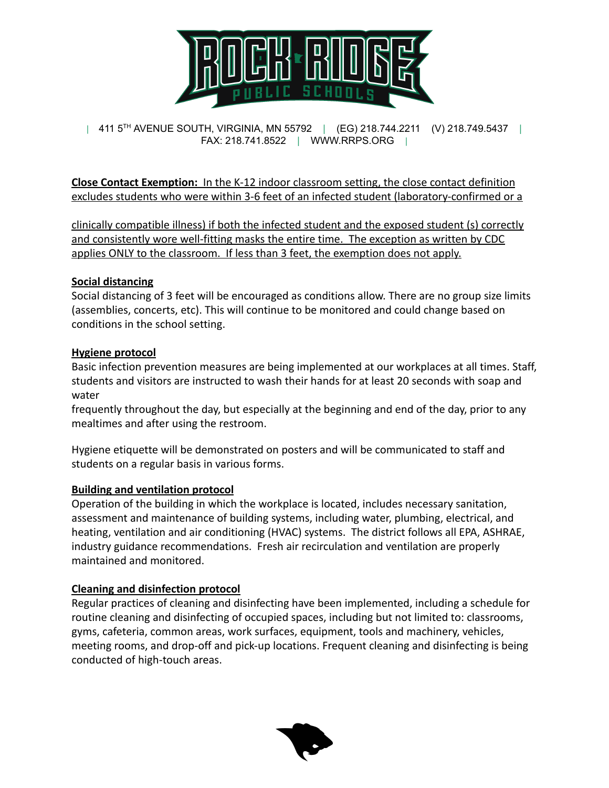

**Close Contact Exemption:** In the K-12 indoor classroom setting, the close contact definition excludes students who were within 3-6 feet of an infected student (laboratory-confirmed or a

clinically compatible illness) if both the infected student and the exposed student (s) correctly and consistently wore well-fitting masks the entire time. The exception as written by CDC applies ONLY to the classroom. If less than 3 feet, the exemption does not apply.

#### **Social distancing**

Social distancing of 3 feet will be encouraged as conditions allow. There are no group size limits (assemblies, concerts, etc). This will continue to be monitored and could change based on conditions in the school setting.

#### **Hygiene protocol**

Basic infection prevention measures are being implemented at our workplaces at all times. Staff, students and visitors are instructed to wash their hands for at least 20 seconds with soap and water

frequently throughout the day, but especially at the beginning and end of the day, prior to any mealtimes and after using the restroom.

Hygiene etiquette will be demonstrated on posters and will be communicated to staff and students on a regular basis in various forms.

## **Building and ventilation protocol**

Operation of the building in which the workplace is located, includes necessary sanitation, assessment and maintenance of building systems, including water, plumbing, electrical, and heating, ventilation and air conditioning (HVAC) systems. The district follows all EPA, ASHRAE, industry guidance recommendations. Fresh air recirculation and ventilation are properly maintained and monitored.

## **Cleaning and disinfection protocol**

Regular practices of cleaning and disinfecting have been implemented, including a schedule for routine cleaning and disinfecting of occupied spaces, including but not limited to: classrooms, gyms, cafeteria, common areas, work surfaces, equipment, tools and machinery, vehicles, meeting rooms, and drop-off and pick-up locations. Frequent cleaning and disinfecting is being conducted of high-touch areas.